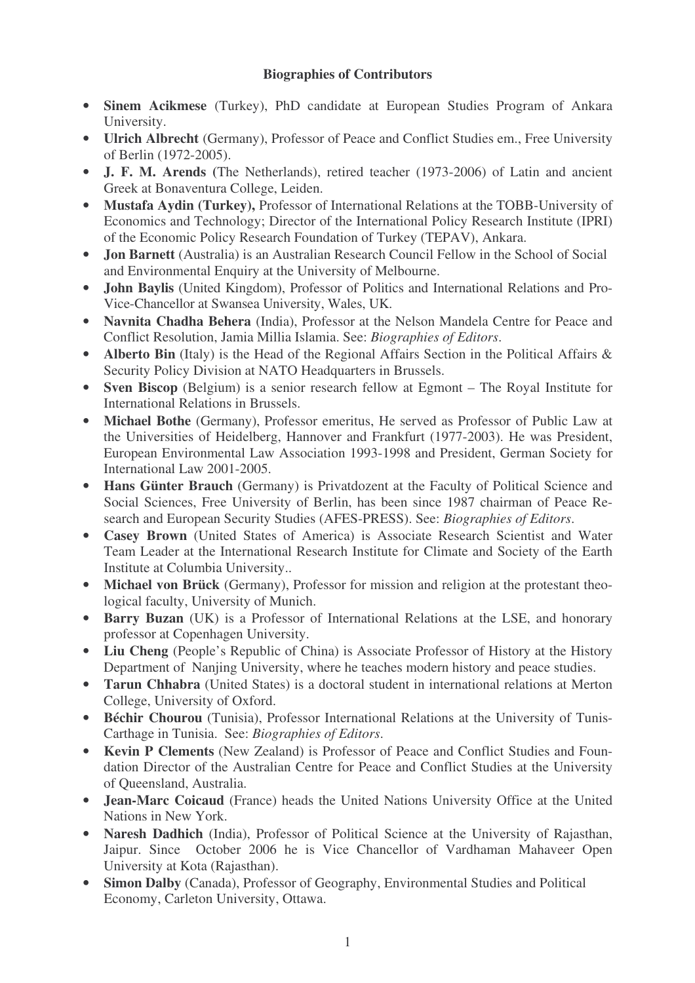## **Biographies of Contributors**

- **Sinem Acikmese** (Turkey), PhD candidate at European Studies Program of Ankara University.
- **Ulrich Albrecht** (Germany), Professor of Peace and Conflict Studies em., Free University of Berlin (1972-2005).
- **J. F. M. Arends (**The Netherlands), retired teacher (1973-2006) of Latin and ancient Greek at Bonaventura College, Leiden.
- **Mustafa Aydin (Turkey),** Professor of International Relations at the TOBB-University of Economics and Technology; Director of the International Policy Research Institute (IPRI) of the Economic Policy Research Foundation of Turkey (TEPAV), Ankara.
- **Jon Barnett** (Australia) is an Australian Research Council Fellow in the School of Social and Environmental Enquiry at the University of Melbourne.
- **John Baylis** (United Kingdom), Professor of Politics and International Relations and Pro-Vice-Chancellor at Swansea University, Wales, UK.
- **Navnita Chadha Behera** (India), Professor at the Nelson Mandela Centre for Peace and Conflict Resolution, Jamia Millia Islamia. See: *Biographies of Editors*.
- **Alberto Bin** (Italy) is the Head of the Regional Affairs Section in the Political Affairs & Security Policy Division at NATO Headquarters in Brussels.
- **Sven Biscop** (Belgium) is a senior research fellow at Egmont The Royal Institute for International Relations in Brussels.
- **Michael Bothe** (Germany), Professor emeritus, He served as Professor of Public Law at the Universities of Heidelberg, Hannover and Frankfurt (1977-2003). He was President, European Environmental Law Association 1993-1998 and President, German Society for International Law 2001-2005.
- **Hans Günter Brauch** (Germany) is Privatdozent at the Faculty of Political Science and Social Sciences, Free University of Berlin, has been since 1987 chairman of Peace Research and European Security Studies (AFES-PRESS). See: *Biographies of Editors*.
- **Casey Brown** (United States of America) is Associate Research Scientist and Water Team Leader at the International Research Institute for Climate and Society of the Earth Institute at Columbia University..
- **Michael von Brück** (Germany), Professor for mission and religion at the protestant theological faculty, University of Munich.
- **Barry Buzan** (UK) is a Professor of International Relations at the LSE, and honorary professor at Copenhagen University.
- **Liu Cheng** (People's Republic of China) is Associate Professor of History at the History Department of Nanjing University, where he teaches modern history and peace studies.
- **Tarun Chhabra** (United States) is a doctoral student in international relations at Merton College, University of Oxford.
- **Béchir Chourou** (Tunisia), Professor International Relations at the University of Tunis-Carthage in Tunisia. See: *Biographies of Editors*.
- **Kevin P Clements** (New Zealand) is Professor of Peace and Conflict Studies and Foundation Director of the Australian Centre for Peace and Conflict Studies at the University of Queensland, Australia.
- **Jean-Marc Coicaud** (France) heads the United Nations University Office at the United Nations in New York.
- **Naresh Dadhich** (India), Professor of Political Science at the University of Rajasthan, Jaipur. Since October 2006 he is Vice Chancellor of Vardhaman Mahaveer Open University at Kota (Rajasthan).
- **Simon Dalby** (Canada), Professor of Geography, Environmental Studies and Political Economy, Carleton University, Ottawa.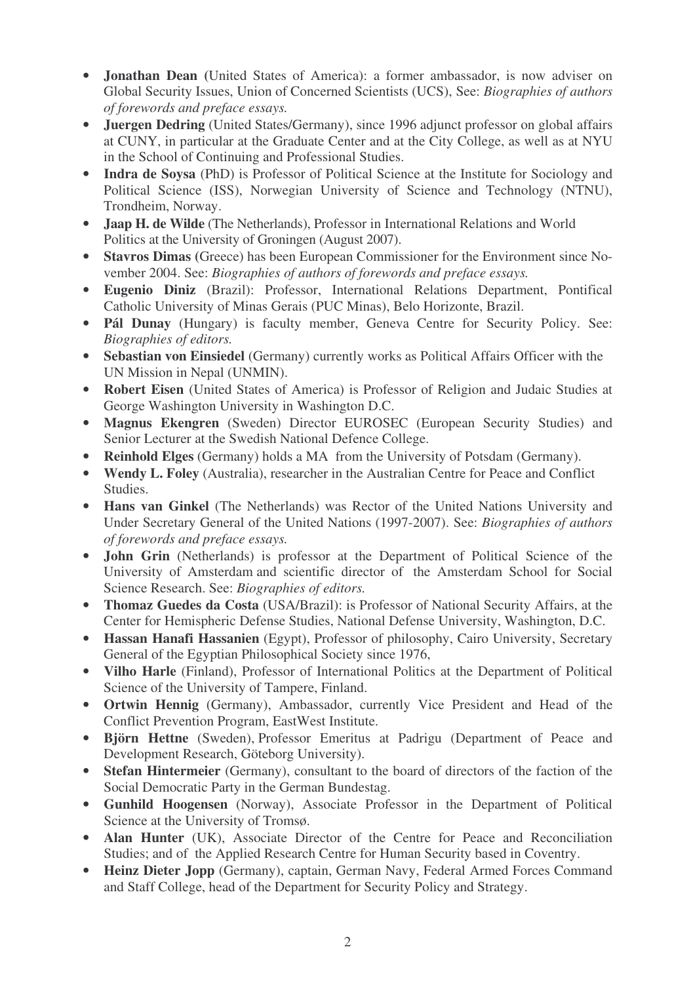- **Jonathan Dean (**United States of America): a former ambassador, is now adviser on Global Security Issues, Union of Concerned Scientists (UCS), See: *Biographies of authors of forewords and preface essays.*
- **Juergen Dedring** (United States/Germany), since 1996 adjunct professor on global affairs at CUNY, in particular at the Graduate Center and at the City College, as well as at NYU in the School of Continuing and Professional Studies.
- **Indra de Soysa** (PhD) is Professor of Political Science at the Institute for Sociology and Political Science (ISS), Norwegian University of Science and Technology (NTNU), Trondheim, Norway.
- **Jaap H. de Wilde** (The Netherlands), Professor in International Relations and World Politics at the University of Groningen (August 2007).
- **Stavros Dimas (**Greece) has been European Commissioner for the Environment since November 2004. See: *Biographies of authors of forewords and preface essays.*
- **Eugenio Diniz** (Brazil): Professor, International Relations Department, Pontifical Catholic University of Minas Gerais (PUC Minas), Belo Horizonte, Brazil.
- **Pál Dunay** (Hungary) is faculty member, Geneva Centre for Security Policy. See: *Biographies of editors.*
- **Sebastian von Einsiedel** (Germany) currently works as Political Affairs Officer with the UN Mission in Nepal (UNMIN).
- **Robert Eisen** (United States of America) is Professor of Religion and Judaic Studies at George Washington University in Washington D.C.
- **Magnus Ekengren** (Sweden) Director EUROSEC (European Security Studies) and Senior Lecturer at the Swedish National Defence College.
- **Reinhold Elges** (Germany) holds a MA from the University of Potsdam (Germany).
- **Wendy L. Foley** (Australia), researcher in the Australian Centre for Peace and Conflict Studies.
- **Hans van Ginkel** (The Netherlands) was Rector of the United Nations University and Under Secretary General of the United Nations (1997-2007). See: *Biographies of authors of forewords and preface essays.*
- **John Grin** (Netherlands) is professor at the Department of Political Science of the University of Amsterdam and scientific director of the Amsterdam School for Social Science Research. See: *Biographies of editors.*
- **Thomaz Guedes da Costa** (USA/Brazil): is Professor of National Security Affairs, at the Center for Hemispheric Defense Studies, National Defense University, Washington, D.C.
- **Hassan Hanafi Hassanien** (Egypt), Professor of philosophy, Cairo University, Secretary General of the Egyptian Philosophical Society since 1976,
- **Vilho Harle** (Finland), Professor of International Politics at the Department of Political Science of the University of Tampere, Finland.
- **Ortwin Hennig** (Germany), Ambassador, currently Vice President and Head of the Conflict Prevention Program, EastWest Institute.
- **Björn Hettne** (Sweden), Professor Emeritus at Padrigu (Department of Peace and Development Research, Göteborg University).
- **Stefan Hintermeier** (Germany), consultant to the board of directors of the faction of the Social Democratic Party in the German Bundestag.
- **Gunhild Hoogensen** (Norway), Associate Professor in the Department of Political Science at the University of Tromsø.
- **Alan Hunter** (UK), Associate Director of the Centre for Peace and Reconciliation Studies; and of the Applied Research Centre for Human Security based in Coventry.
- **Heinz Dieter Jopp** (Germany), captain, German Navy, Federal Armed Forces Command and Staff College, head of the Department for Security Policy and Strategy.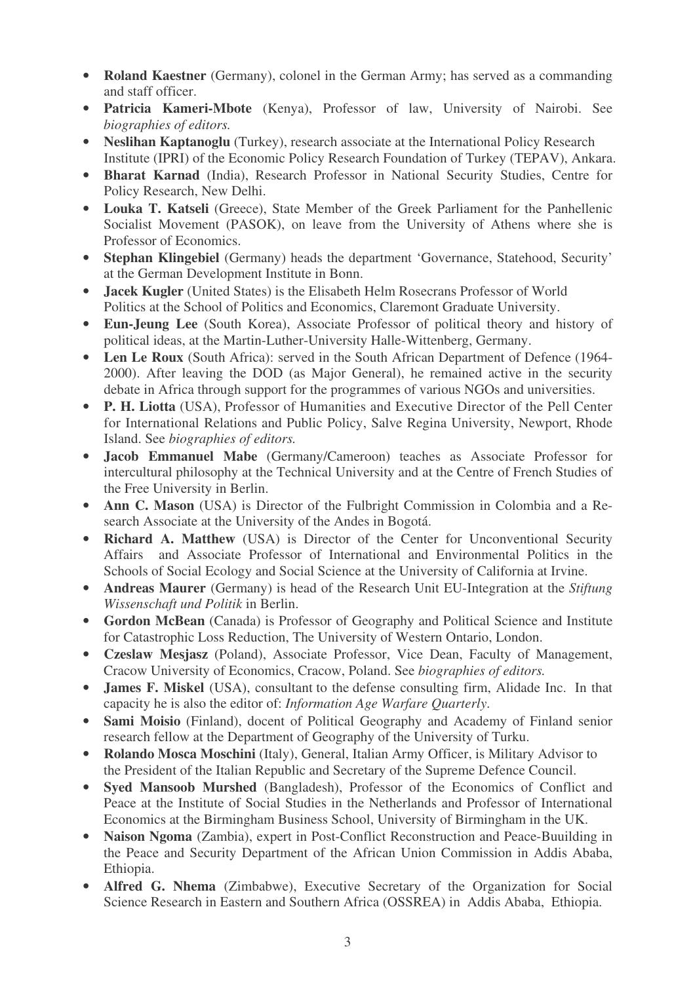- **Roland Kaestner** (Germany), colonel in the German Army; has served as a commanding and staff officer.
- **Patricia Kameri-Mbote** (Kenya), Professor of law, University of Nairobi. See *biographies of editors.*
- **Neslihan Kaptanoglu** (Turkey), research associate at the International Policy Research Institute (IPRI) of the Economic Policy Research Foundation of Turkey (TEPAV), Ankara.
- **Bharat Karnad** (India), Research Professor in National Security Studies, Centre for Policy Research, New Delhi.
- **Louka T. Katseli** (Greece), State Member of the Greek Parliament for the Panhellenic Socialist Movement (PASOK), on leave from the University of Athens where she is Professor of Economics.
- **Stephan Klingebiel** (Germany) heads the department 'Governance, Statehood, Security' at the German Development Institute in Bonn.
- **Jacek Kugler** (United States) is the Elisabeth Helm Rosecrans Professor of World Politics at the School of Politics and Economics, Claremont Graduate University.
- **Eun-Jeung Lee** (South Korea), Associate Professor of political theory and history of political ideas, at the Martin-Luther-University Halle-Wittenberg, Germany.
- **Len Le Roux** (South Africa): served in the South African Department of Defence (1964- 2000). After leaving the DOD (as Major General), he remained active in the security debate in Africa through support for the programmes of various NGOs and universities.
- **P. H. Liotta** (USA), Professor of Humanities and Executive Director of the Pell Center for International Relations and Public Policy, Salve Regina University, Newport, Rhode Island. See *biographies of editors.*
- **Jacob Emmanuel Mabe** (Germany/Cameroon) teaches as Associate Professor for intercultural philosophy at the Technical University and at the Centre of French Studies of the Free University in Berlin.
- **Ann C. Mason** (USA) is Director of the Fulbright Commission in Colombia and a Research Associate at the University of the Andes in Bogotá.
- **Richard A. Matthew** (USA) is Director of the Center for Unconventional Security Affairs and Associate Professor of International and Environmental Politics in the Schools of Social Ecology and Social Science at the University of California at Irvine.
- **Andreas Maurer** (Germany) is head of the Research Unit EU-Integration at the *Stiftung Wissenschaft und Politik* in Berlin.
- **Gordon McBean** (Canada) is Professor of Geography and Political Science and Institute for Catastrophic Loss Reduction, The University of Western Ontario, London.
- **Czeslaw Mesjasz** (Poland), Associate Professor, Vice Dean, Faculty of Management, Cracow University of Economics, Cracow, Poland. See *biographies of editors.*
- **James F. Miskel** (USA), consultant to the defense consulting firm, Alidade Inc. In that capacity he is also the editor of: *Information Age Warfare Quarterly*.
- **Sami Moisio** (Finland), docent of Political Geography and Academy of Finland senior research fellow at the Department of Geography of the University of Turku.
- **Rolando Mosca Moschini** (Italy), General, Italian Army Officer, is Military Advisor to the President of the Italian Republic and Secretary of the Supreme Defence Council.
- **Syed Mansoob Murshed** (Bangladesh), Professor of the Economics of Conflict and Peace at the Institute of Social Studies in the Netherlands and Professor of International Economics at the Birmingham Business School, University of Birmingham in the UK.
- **Naison Ngoma** (Zambia), expert in Post-Conflict Reconstruction and Peace-Buuilding in the Peace and Security Department of the African Union Commission in Addis Ababa, Ethiopia.
- **Alfred G. Nhema** (Zimbabwe), Executive Secretary of the Organization for Social Science Research in Eastern and Southern Africa (OSSREA) in Addis Ababa, Ethiopia.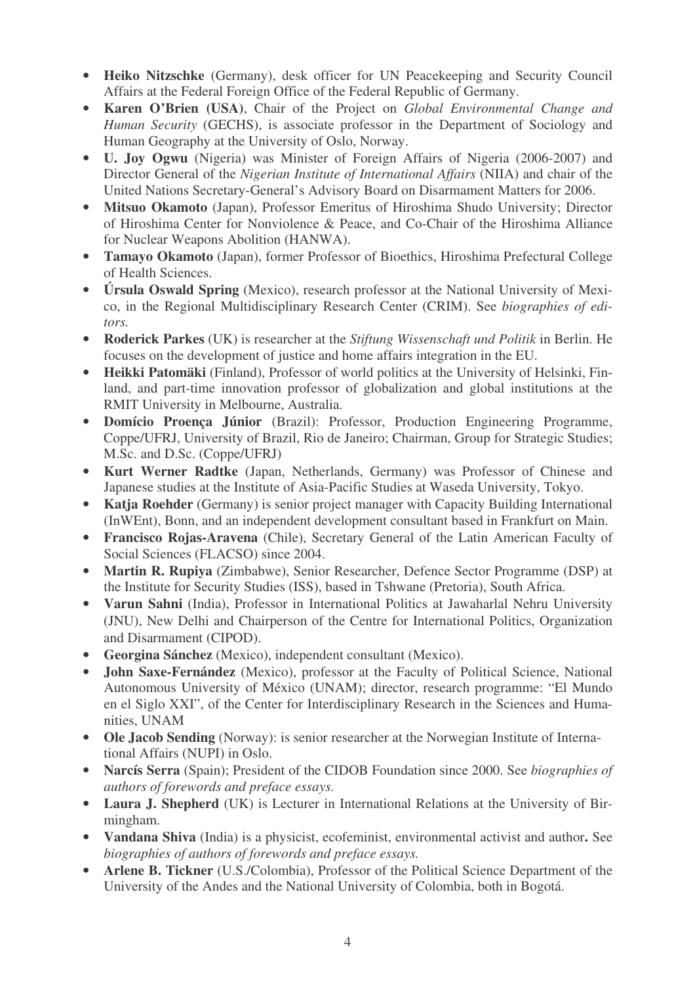- **Heiko Nitzschke** (Germany), desk officer for UN Peacekeeping and Security Council Affairs at the Federal Foreign Office of the Federal Republic of Germany.
- **Karen O'Brien (USA)**, Chair of the Project on *Global Environmental Change and Human Security* (GECHS), is associate professor in the Department of Sociology and Human Geography at the University of Oslo, Norway.
- **U. Joy Ogwu** (Nigeria) was Minister of Foreign Affairs of Nigeria (2006-2007) and Director General of the *Nigerian Institute of International Affairs* (NIIA) and chair of the United Nations Secretary-General's Advisory Board on Disarmament Matters for 2006.
- **Mitsuo Okamoto** (Japan), Professor Emeritus of Hiroshima Shudo University; Director of Hiroshima Center for Nonviolence & Peace, and Co-Chair of the Hiroshima Alliance for Nuclear Weapons Abolition (HANWA).
- **Tamayo Okamoto** (Japan), former Professor of Bioethics, Hiroshima Prefectural College of Health Sciences.
- **Úrsula Oswald Spring** (Mexico), research professor at the National University of Mexico, in the Regional Multidisciplinary Research Center (CRIM). See *biographies of editors.*
- **Roderick Parkes** (UK) is researcher at the *Stiftung Wissenschaft und Politik* in Berlin. He focuses on the development of justice and home affairs integration in the EU.
- **Heikki Patomäki** (Finland), Professor of world politics at the University of Helsinki, Finland, and part-time innovation professor of globalization and global institutions at the RMIT University in Melbourne, Australia.
- **Domício Proença Júnior** (Brazil): Professor, Production Engineering Programme, Coppe/UFRJ, University of Brazil, Rio de Janeiro; Chairman, Group for Strategic Studies; M.Sc. and D.Sc. (Coppe/UFRJ)
- **Kurt Werner Radtke** (Japan, Netherlands, Germany) was Professor of Chinese and Japanese studies at the Institute of Asia-Pacific Studies at Waseda University, Tokyo.
- **Katja Roehder** (Germany) is senior project manager with Capacity Building International (InWEnt), Bonn, and an independent development consultant based in Frankfurt on Main.
- **Francisco Rojas-Aravena** (Chile), Secretary General of the Latin American Faculty of Social Sciences (FLACSO) since 2004.
- **Martin R. Rupiya** (Zimbabwe), Senior Researcher, Defence Sector Programme (DSP) at the Institute for Security Studies (ISS), based in Tshwane (Pretoria), South Africa.
- **Varun Sahni** (India), Professor in International Politics at Jawaharlal Nehru University (JNU), New Delhi and Chairperson of the Centre for International Politics, Organization and Disarmament (CIPOD).
- **Georgina Sánchez** (Mexico), independent consultant (Mexico).
- **John Saxe-Fernández** (Mexico), professor at the Faculty of Political Science, National Autonomous University of México (UNAM); director, research programme: "El Mundo en el Siglo XXI", of the Center for Interdisciplinary Research in the Sciences and Humanities, UNAM
- **Ole Jacob Sending** (Norway): is senior researcher at the Norwegian Institute of International Affairs (NUPI) in Oslo.
- **Narcís Serra** (Spain); President of the CIDOB Foundation since 2000. See *biographies of authors of forewords and preface essays.*
- **Laura J. Shepherd** (UK) is Lecturer in International Relations at the University of Birmingham.
- **Vandana Shiva** (India) is a physicist, ecofeminist, environmental activist and author**.** See *biographies of authors of forewords and preface essays.*
- **Arlene B. Tickner** (U.S./Colombia), Professor of the Political Science Department of the University of the Andes and the National University of Colombia, both in Bogotá.